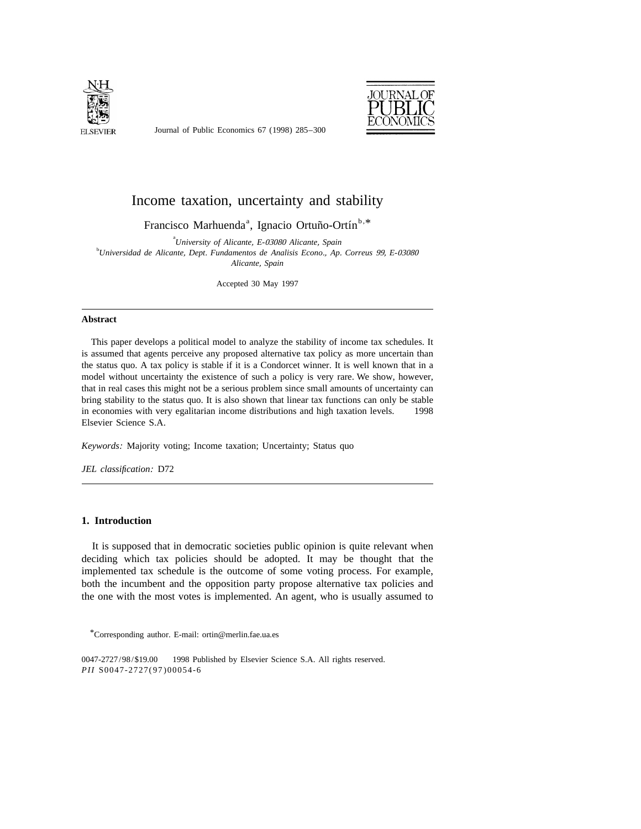

Journal of Public Economics 67 (1998) 285–300



# Income taxation, uncertainty and stability

Francisco Marhuenda<sup>ª</sup>, Ignacio Ortuño-Ortín<sup>b,\*</sup>

a *University of Alicante*, *E*-<sup>03080</sup> *Alicante*, *Spain* b *Universidad de Alicante*, *Dept*. *Fundamentos de Analisis Econo*., *Ap*. *Correus* 99, *E*-<sup>03080</sup> *Alicante*, *Spain*

Accepted 30 May 1997

#### **Abstract**

This paper develops a political model to analyze the stability of income tax schedules. It is assumed that agents perceive any proposed alternative tax policy as more uncertain than the status quo. A tax policy is stable if it is a Condorcet winner. It is well known that in a model without uncertainty the existence of such a policy is very rare. We show, however, that in real cases this might not be a serious problem since small amounts of uncertainty can bring stability to the status quo. It is also shown that linear tax functions can only be stable in economies with very egalitarian income distributions and high taxation levels.  $\circ$  1998 Elsevier Science S.A.

*Keywords*: Majority voting; Income taxation; Uncertainty; Status quo

*JEL classification*: D72

## **1. Introduction**

It is supposed that in democratic societies public opinion is quite relevant when deciding which tax policies should be adopted. It may be thought that the implemented tax schedule is the outcome of some voting process. For example, both the incumbent and the opposition party propose alternative tax policies and the one with the most votes is implemented. An agent, who is usually assumed to

<sup>\*</sup>Corresponding author. E-mail: ortin@merlin.fae.ua.es

<sup>0047-2727/98/\$19.00 © 1998</sup> Published by Elsevier Science S.A. All rights reserved. *PII* S0047-2727(97)00054-6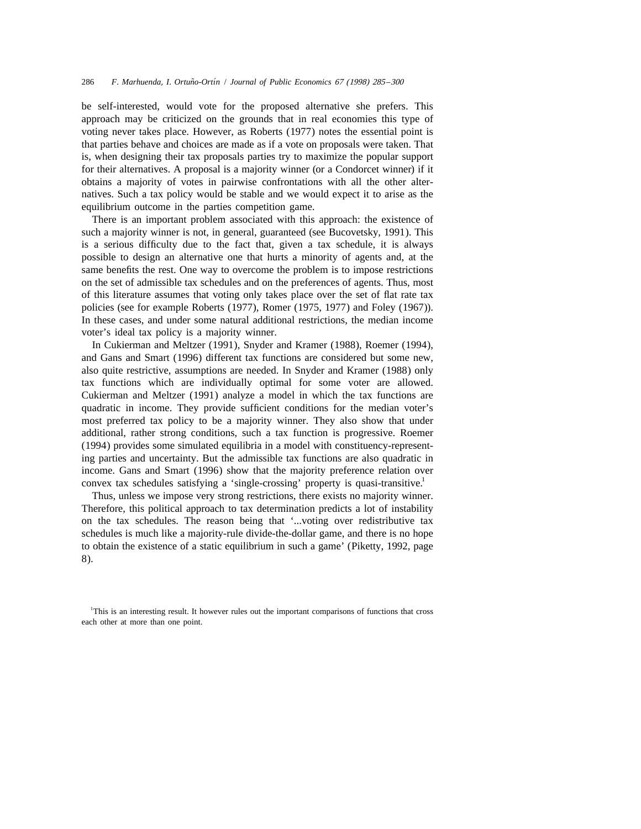be self-interested, would vote for the proposed alternative she prefers. This approach may be criticized on the grounds that in real economies this type of voting never takes place. However, as Roberts (1977) notes the essential point is that parties behave and choices are made as if a vote on proposals were taken. That is, when designing their tax proposals parties try to maximize the popular support for their alternatives. A proposal is a majority winner (or a Condorcet winner) if it obtains a majority of votes in pairwise confrontations with all the other alternatives. Such a tax policy would be stable and we would expect it to arise as the equilibrium outcome in the parties competition game.

There is an important problem associated with this approach: the existence of such a majority winner is not, in general, guaranteed (see Bucovetsky, 1991). This is a serious difficulty due to the fact that, given a tax schedule, it is always possible to design an alternative one that hurts a minority of agents and, at the same benefits the rest. One way to overcome the problem is to impose restrictions on the set of admissible tax schedules and on the preferences of agents. Thus, most of this literature assumes that voting only takes place over the set of flat rate tax policies (see for example Roberts (1977), Romer (1975, 1977) and Foley (1967)). In these cases, and under some natural additional restrictions, the median income voter's ideal tax policy is a majority winner.

In Cukierman and Meltzer (1991), Snyder and Kramer (1988), Roemer (1994), and Gans and Smart (1996) different tax functions are considered but some new, also quite restrictive, assumptions are needed. In Snyder and Kramer (1988) only tax functions which are individually optimal for some voter are allowed. Cukierman and Meltzer (1991) analyze a model in which the tax functions are quadratic in income. They provide sufficient conditions for the median voter's most preferred tax policy to be a majority winner. They also show that under additional, rather strong conditions, such a tax function is progressive. Roemer (1994) provides some simulated equilibria in a model with constituency-representing parties and uncertainty. But the admissible tax functions are also quadratic in income. Gans and Smart (1996) show that the majority preference relation over convex tax schedules satisfying a 'single-crossing' property is quasi-transitive.<sup>1</sup>

Thus, unless we impose very strong restrictions, there exists no majority winner. Therefore, this political approach to tax determination predicts a lot of instability on the tax schedules. The reason being that '...voting over redistributive tax schedules is much like a majority-rule divide-the-dollar game, and there is no hope to obtain the existence of a static equilibrium in such a game' (Piketty, 1992, page 8).

<sup>&</sup>lt;sup>1</sup>This is an interesting result. It however rules out the important comparisons of functions that cross each other at more than one point.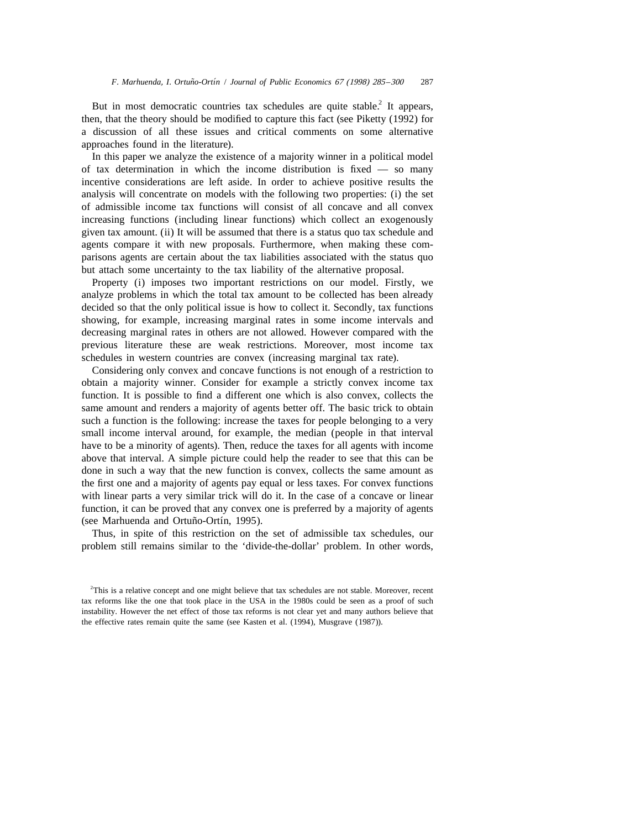But in most democratic countries tax schedules are quite stable.<sup>2</sup> It appears, then, that the theory should be modified to capture this fact (see Piketty (1992) for a discussion of all these issues and critical comments on some alternative approaches found in the literature).

In this paper we analyze the existence of a majority winner in a political model of tax determination in which the income distribution is fixed — so many incentive considerations are left aside. In order to achieve positive results the analysis will concentrate on models with the following two properties: (i) the set of admissible income tax functions will consist of all concave and all convex increasing functions (including linear functions) which collect an exogenously given tax amount. (ii) It will be assumed that there is a status quo tax schedule and agents compare it with new proposals. Furthermore, when making these comparisons agents are certain about the tax liabilities associated with the status quo but attach some uncertainty to the tax liability of the alternative proposal.

Property (i) imposes two important restrictions on our model. Firstly, we analyze problems in which the total tax amount to be collected has been already decided so that the only political issue is how to collect it. Secondly, tax functions showing, for example, increasing marginal rates in some income intervals and decreasing marginal rates in others are not allowed. However compared with the previous literature these are weak restrictions. Moreover, most income tax schedules in western countries are convex (increasing marginal tax rate).

Considering only convex and concave functions is not enough of a restriction to obtain a majority winner. Consider for example a strictly convex income tax function. It is possible to find a different one which is also convex, collects the same amount and renders a majority of agents better off. The basic trick to obtain such a function is the following: increase the taxes for people belonging to a very small income interval around, for example, the median (people in that interval have to be a minority of agents). Then, reduce the taxes for all agents with income above that interval. A simple picture could help the reader to see that this can be done in such a way that the new function is convex, collects the same amount as the first one and a majority of agents pay equal or less taxes. For convex functions with linear parts a very similar trick will do it. In the case of a concave or linear function, it can be proved that any convex one is preferred by a majority of agents (see Marhuenda and Ortuño-Ortín, 1995).

Thus, in spite of this restriction on the set of admissible tax schedules, our problem still remains similar to the 'divide-the-dollar' problem. In other words,

<sup>&</sup>lt;sup>2</sup>This is a relative concept and one might believe that tax schedules are not stable. Moreover, recent tax reforms like the one that took place in the USA in the 1980s could be seen as a proof of such instability. However the net effect of those tax reforms is not clear yet and many authors believe that the effective rates remain quite the same (see Kasten et al. (1994), Musgrave (1987)).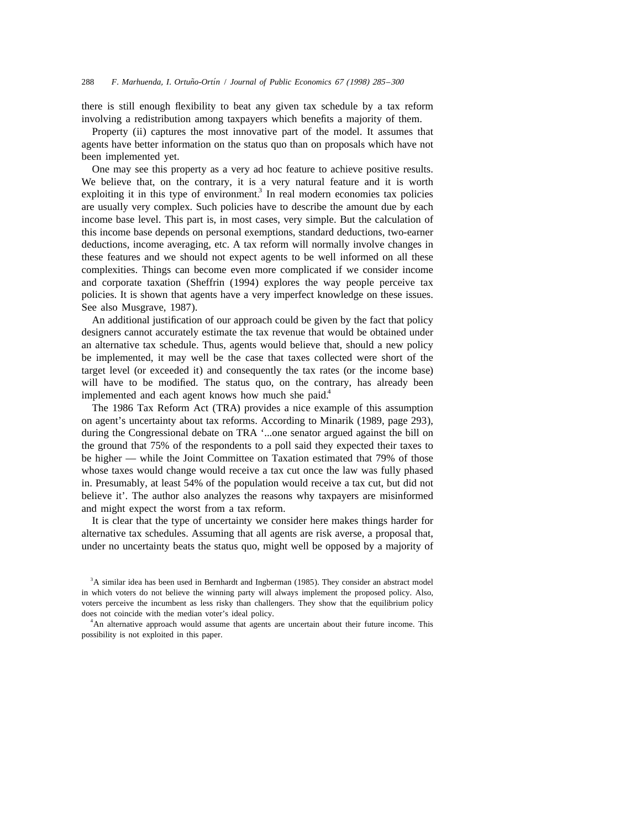there is still enough flexibility to beat any given tax schedule by a tax reform involving a redistribution among taxpayers which benefits a majority of them.

Property (ii) captures the most innovative part of the model. It assumes that agents have better information on the status quo than on proposals which have not been implemented yet.

One may see this property as a very ad hoc feature to achieve positive results. We believe that, on the contrary, it is a very natural feature and it is worth exploiting it in this type of environment.<sup>3</sup> In real modern economies tax policies are usually very complex. Such policies have to describe the amount due by each income base level. This part is, in most cases, very simple. But the calculation of this income base depends on personal exemptions, standard deductions, two-earner deductions, income averaging, etc. A tax reform will normally involve changes in these features and we should not expect agents to be well informed on all these complexities. Things can become even more complicated if we consider income and corporate taxation (Sheffrin (1994) explores the way people perceive tax policies. It is shown that agents have a very imperfect knowledge on these issues. See also Musgrave, 1987).

An additional justification of our approach could be given by the fact that policy designers cannot accurately estimate the tax revenue that would be obtained under an alternative tax schedule. Thus, agents would believe that, should a new policy be implemented, it may well be the case that taxes collected were short of the target level (or exceeded it) and consequently the tax rates (or the income base) will have to be modified. The status quo, on the contrary, has already been implemented and each agent knows how much she paid.<sup>4</sup>

The 1986 Tax Reform Act (TRA) provides a nice example of this assumption on agent's uncertainty about tax reforms. According to Minarik (1989, page 293), during the Congressional debate on TRA '...one senator argued against the bill on the ground that 75% of the respondents to a poll said they expected their taxes to be higher — while the Joint Committee on Taxation estimated that 79% of those whose taxes would change would receive a tax cut once the law was fully phased in. Presumably, at least 54% of the population would receive a tax cut, but did not believe it'. The author also analyzes the reasons why taxpayers are misinformed and might expect the worst from a tax reform.

It is clear that the type of uncertainty we consider here makes things harder for alternative tax schedules. Assuming that all agents are risk averse, a proposal that, under no uncertainty beats the status quo, might well be opposed by a majority of

<sup>3</sup>A similar idea has been used in Bernhardt and Ingberman (1985). They consider an abstract model in which voters do not believe the winning party will always implement the proposed policy. Also, voters perceive the incumbent as less risky than challengers. They show that the equilibrium policy does not coincide with the median voter's ideal policy.

<sup>4</sup>An alternative approach would assume that agents are uncertain about their future income. This possibility is not exploited in this paper.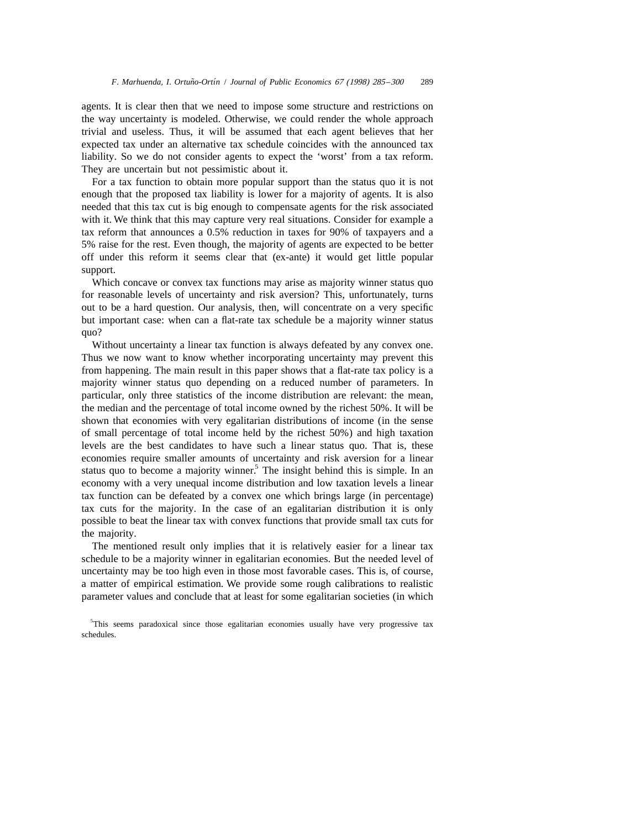agents. It is clear then that we need to impose some structure and restrictions on the way uncertainty is modeled. Otherwise, we could render the whole approach trivial and useless. Thus, it will be assumed that each agent believes that her expected tax under an alternative tax schedule coincides with the announced tax liability. So we do not consider agents to expect the 'worst' from a tax reform. They are uncertain but not pessimistic about it.

For a tax function to obtain more popular support than the status quo it is not enough that the proposed tax liability is lower for a majority of agents. It is also needed that this tax cut is big enough to compensate agents for the risk associated with it. We think that this may capture very real situations. Consider for example a tax reform that announces a 0.5% reduction in taxes for 90% of taxpayers and a 5% raise for the rest. Even though, the majority of agents are expected to be better off under this reform it seems clear that (ex-ante) it would get little popular support.

Which concave or convex tax functions may arise as majority winner status quo for reasonable levels of uncertainty and risk aversion? This, unfortunately, turns out to be a hard question. Our analysis, then, will concentrate on a very specific but important case: when can a flat-rate tax schedule be a majority winner status quo?

Without uncertainty a linear tax function is always defeated by any convex one. Thus we now want to know whether incorporating uncertainty may prevent this from happening. The main result in this paper shows that a flat-rate tax policy is a majority winner status quo depending on a reduced number of parameters. In particular, only three statistics of the income distribution are relevant: the mean, the median and the percentage of total income owned by the richest 50%. It will be shown that economies with very egalitarian distributions of income (in the sense of small percentage of total income held by the richest 50%) and high taxation levels are the best candidates to have such a linear status quo. That is, these economies require smaller amounts of uncertainty and risk aversion for a linear status quo to become a majority winner. The insight behind this is simple. In an economy with a very unequal income distribution and low taxation levels a linear tax function can be defeated by a convex one which brings large (in percentage) tax cuts for the majority. In the case of an egalitarian distribution it is only possible to beat the linear tax with convex functions that provide small tax cuts for the majority.

The mentioned result only implies that it is relatively easier for a linear tax schedule to be a majority winner in egalitarian economies. But the needed level of uncertainty may be too high even in those most favorable cases. This is, of course, a matter of empirical estimation. We provide some rough calibrations to realistic parameter values and conclude that at least for some egalitarian societies (in which

<sup>&</sup>lt;sup>5</sup>This seems paradoxical since those egalitarian economies usually have very progressive tax schedules.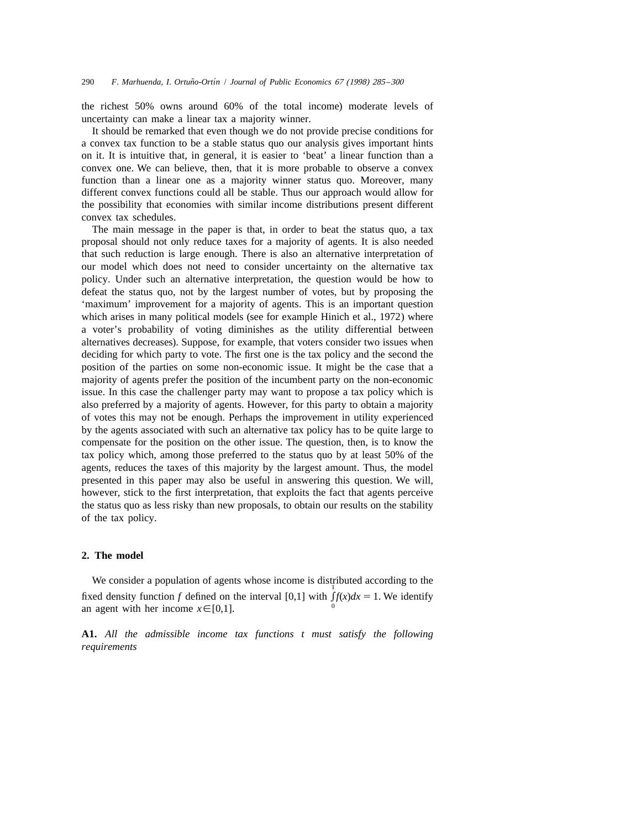the richest 50% owns around 60% of the total income) moderate levels of uncertainty can make a linear tax a majority winner.

It should be remarked that even though we do not provide precise conditions for a convex tax function to be a stable status quo our analysis gives important hints on it. It is intuitive that, in general, it is easier to 'beat' a linear function than a convex one. We can believe, then, that it is more probable to observe a convex function than a linear one as a majority winner status quo. Moreover, many different convex functions could all be stable. Thus our approach would allow for the possibility that economies with similar income distributions present different convex tax schedules.

The main message in the paper is that, in order to beat the status quo, a tax proposal should not only reduce taxes for a majority of agents. It is also needed that such reduction is large enough. There is also an alternative interpretation of our model which does not need to consider uncertainty on the alternative tax policy. Under such an alternative interpretation, the question would be how to defeat the status quo, not by the largest number of votes, but by proposing the 'maximum' improvement for a majority of agents. This is an important question which arises in many political models (see for example Hinich et al., 1972) where a voter's probability of voting diminishes as the utility differential between alternatives decreases). Suppose, for example, that voters consider two issues when deciding for which party to vote. The first one is the tax policy and the second the position of the parties on some non-economic issue. It might be the case that a majority of agents prefer the position of the incumbent party on the non-economic issue. In this case the challenger party may want to propose a tax policy which is also preferred by a majority of agents. However, for this party to obtain a majority of votes this may not be enough. Perhaps the improvement in utility experienced by the agents associated with such an alternative tax policy has to be quite large to compensate for the position on the other issue. The question, then, is to know the tax policy which, among those preferred to the status quo by at least 50% of the agents, reduces the taxes of this majority by the largest amount. Thus, the model presented in this paper may also be useful in answering this question. We will, however, stick to the first interpretation, that exploits the fact that agents perceive the status quo as less risky than new proposals, to obtain our results on the stability of the tax policy.

## **2. The model**

We consider a population of agents whose income is distributed according to the fixed density function *f* defined on the interval [0,1] with  $\int f(x)dx = 1$ . We identify an agent with her income  $x \in [0,1]$ .

**A1.** *All the admissible income tax functions t must satisfy the following requirements*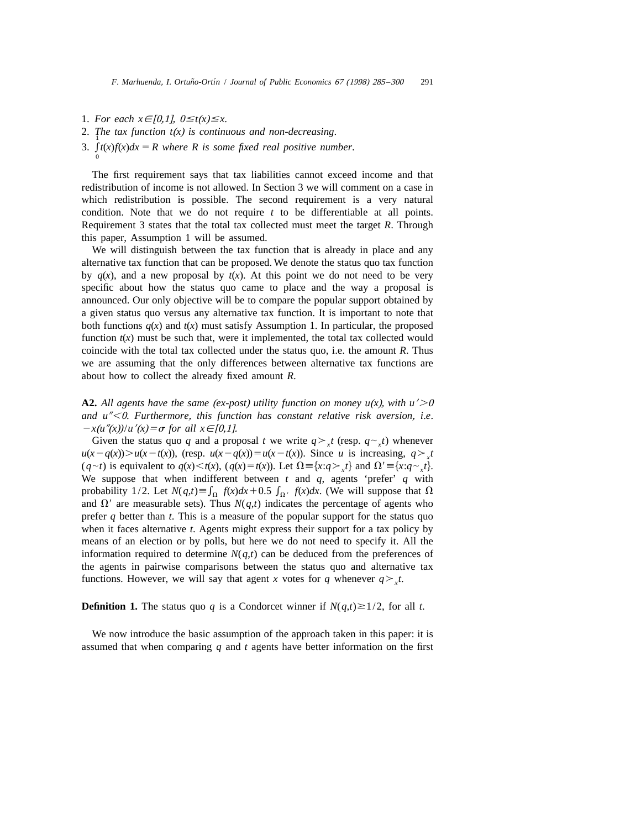1. For each  $x \in [0,1]$ ,  $0 \le t(x) \le x$ .

0

- 2. *The tax function*  $t(x)$  *is continuous and non-decreasing.*
- 3.  $\int f(x)f(x)dx = R$  where R is some fixed real positive number.

The first requirement says that tax liabilities cannot exceed income and that redistribution of income is not allowed. In Section 3 we will comment on a case in which redistribution is possible. The second requirement is a very natural condition. Note that we do not require *t* to be differentiable at all points. Requirement 3 states that the total tax collected must meet the target *R*. Through this paper, Assumption 1 will be assumed.

We will distinguish between the tax function that is already in place and any alternative tax function that can be proposed. We denote the status quo tax function by  $q(x)$ , and a new proposal by  $t(x)$ . At this point we do not need to be very specific about how the status quo came to place and the way a proposal is announced. Our only objective will be to compare the popular support obtained by a given status quo versus any alternative tax function. It is important to note that both functions  $q(x)$  and  $t(x)$  must satisfy Assumption 1. In particular, the proposed function  $t(x)$  must be such that, were it implemented, the total tax collected would coincide with the total tax collected under the status quo, i.e. the amount *R*. Thus we are assuming that the only differences between alternative tax functions are about how to collect the already fixed amount *R*.

**A2.** All agents have the same (ex-post) utility function on money  $u(x)$ , with  $u' > 0$ *and*  $u''<0$ *. Furthermore, this function has constant relative risk aversion, i.e.*  $-x(u''(x))/u'(x) = \sigma$  for all  $x \in [0,1].$ 

Given the status quo *q* and a proposal *t* we write  $q > t$  (resp.  $q \sim t$ ) whenever  $u(x-q(x))>u(x-t(x))$ , (resp.  $u(x-q(x))=u(x-t(x))$ ). Since *u* is increasing,  $q>t$  $(q \sim t)$  is equivalent to  $q(x) \leq t(x)$ ,  $(q(x) = t(x))$ . Let  $\Omega = \{x : q > t\}$  and  $\Omega' = \{x : q \sim t\}$ . We suppose that when indifferent between *t* and *q*, agents 'prefer' *q* with probability 1/2. Let  $N(q,t) \equiv \int_{\Omega} f(x)dx + 0.5 \int_{\Omega'} f(x)dx$ . (We will suppose that  $\Omega$ and  $\Omega'$  are measurable sets). Thus  $N(q,t)$  indicates the percentage of agents who prefer *q* better than *t*. This is a measure of the popular support for the status quo when it faces alternative *t*. Agents might express their support for a tax policy by means of an election or by polls, but here we do not need to specify it. All the information required to determine  $N(q,t)$  can be deduced from the preferences of the agents in pairwise comparisons between the status quo and alternative tax functions. However, we will say that agent *x* votes for *q* whenever  $q > t$ .

**Definition 1.** The status quo *q* is a Condorcet winner if  $N(q,t) \geq 1/2$ , for all *t*.

We now introduce the basic assumption of the approach taken in this paper: it is assumed that when comparing *q* and *t* agents have better information on the first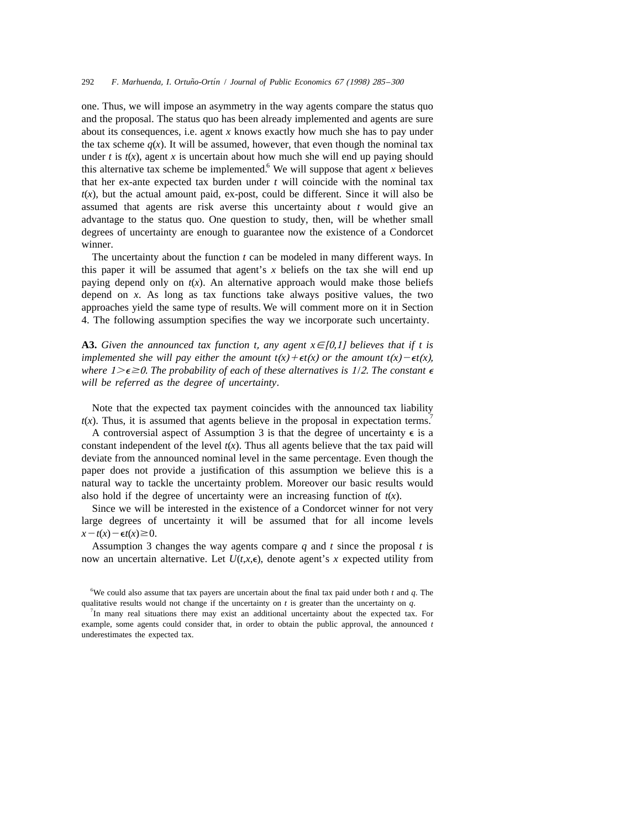one. Thus, we will impose an asymmetry in the way agents compare the status quo and the proposal. The status quo has been already implemented and agents are sure about its consequences, i.e. agent *x* knows exactly how much she has to pay under the tax scheme  $q(x)$ . It will be assumed, however, that even though the nominal tax under *t* is  $t(x)$ , agent *x* is uncertain about how much she will end up paying should this alternative tax scheme be implemented.<sup>6</sup> We will suppose that agent *x* believes that her ex-ante expected tax burden under *t* will coincide with the nominal tax  $t(x)$ , but the actual amount paid, ex-post, could be different. Since it will also be assumed that agents are risk averse this uncertainty about *t* would give an advantage to the status quo. One question to study, then, will be whether small degrees of uncertainty are enough to guarantee now the existence of a Condorcet winner.

The uncertainty about the function *t* can be modeled in many different ways. In this paper it will be assumed that agent's *x* beliefs on the tax she will end up paying depend only on  $t(x)$ . An alternative approach would make those beliefs depend on *x*. As long as tax functions take always positive values, the two approaches yield the same type of results. We will comment more on it in Section 4. The following assumption specifies the way we incorporate such uncertainty.

**A3.** Given the announced tax function t, any agent  $x \in [0,1]$  believes that if t is *implemented she will pay either the amount*  $t(x) + \epsilon t(x)$  *or the amount*  $t(x) - \epsilon t(x)$ *, where*  $1 \geq \epsilon \geq 0$ . The probability of each of these alternatives is  $1/2$ . The constant *will be referred as the degree of uncertainty*.

Note that the expected tax payment coincides with the announced tax liability  $t(x)$ . Thus, it is assumed that agents believe in the proposal in expectation terms.

A controversial aspect of Assumption 3 is that the degree of uncertainty  $\epsilon$  is a constant independent of the level  $t(x)$ . Thus all agents believe that the tax paid will deviate from the announced nominal level in the same percentage. Even though the paper does not provide a justification of this assumption we believe this is a natural way to tackle the uncertainty problem. Moreover our basic results would also hold if the degree of uncertainty were an increasing function of  $t(x)$ .

Since we will be interested in the existence of a Condorcet winner for not very large degrees of uncertainty it will be assumed that for all income levels  $x - t(x) - \epsilon t(x) \ge 0$ .

Assumption 3 changes the way agents compare *q* and *t* since the proposal *t* is now an uncertain alternative. Let  $U(t, x, \epsilon)$ , denote agent's *x* expected utility from

<sup>&</sup>lt;sup>6</sup>We could also assume that tax payers are uncertain about the final tax paid under both  $t$  and  $q$ . The qualitative results would not change if the uncertainty on *t* is greater than the uncertainty on *q*.

 $7$ In many real situations there may exist an additional uncertainty about the expected tax. For example, some agents could consider that, in order to obtain the public approval, the announced *t* underestimates the expected tax.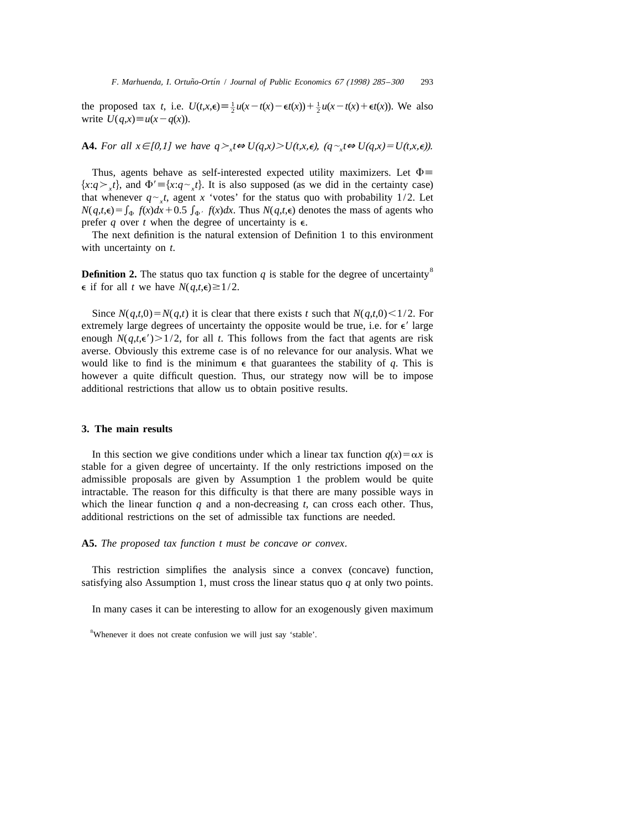the proposed tax *t*, i.e.  $U(t,x,\epsilon) \equiv \frac{1}{2}u(x-t(x)-\epsilon t(x)) + \frac{1}{2}u(x-t(x)+\epsilon t(x))$ . We also write  $U(q,x) \equiv u(x-q(x))$ .

**A4.** For all  $x \in [0,1]$  we have  $q >$ ,  $t \Leftrightarrow U(q,x) > U(t,x,\epsilon)$ ,  $(q \sim t \Leftrightarrow U(q,x) = U(t,x,\epsilon)$ .

Thus, agents behave as self-interested expected utility maximizers. Let  $\Phi$  $\{x:q > t\}$ , and  $\Phi' \equiv \{x:q \sim t\}$ . It is also supposed (as we did in the certainty case) that whenever  $q \sim t$ , agent *x* 'votes' for the status quo with probability 1/2. Let  $N(q,t,\epsilon) = \int_{\Phi} f(x)dx + 0.5 \int_{\Phi} f(x)dx$ . Thus  $N(q,t,\epsilon)$  denotes the mass of agents who prefer  $q$  over  $t$  when the degree of uncertainty is  $\epsilon$ .

The next definition is the natural extension of Definition 1 to this environment with uncertainty on *t*.

**Definition 2.** The status quo tax function  $q$  is stable for the degree of uncertainty<sup>8</sup>  $\epsilon$  if for all *t* we have  $N(q,t,\epsilon) \geq 1/2$ .

Since  $N(q,t,0) = N(q,t)$  it is clear that there exists *t* such that  $N(q,t,0) \leq 1/2$ . For extremely large degrees of uncertainty the opposite would be true, i.e. for  $\epsilon'$  large enough  $N(q,t,\epsilon') > 1/2$ , for all *t*. This follows from the fact that agents are risk averse. Obviously this extreme case is of no relevance for our analysis. What we would like to find is the minimum  $\epsilon$  that guarantees the stability of *q*. This is however a quite difficult question. Thus, our strategy now will be to impose additional restrictions that allow us to obtain positive results.

## **3. The main results**

In this section we give conditions under which a linear tax function  $q(x) = \alpha x$  is stable for a given degree of uncertainty. If the only restrictions imposed on the admissible proposals are given by Assumption 1 the problem would be quite intractable. The reason for this difficulty is that there are many possible ways in which the linear function  $q$  and a non-decreasing  $t$ , can cross each other. Thus, additional restrictions on the set of admissible tax functions are needed.

**A5.** *The proposed tax function t must be concave or convex*.

This restriction simplifies the analysis since a convex (concave) function, satisfying also Assumption 1, must cross the linear status quo *q* at only two points.

In many cases it can be interesting to allow for an exogenously given maximum

<sup>8</sup>Whenever it does not create confusion we will just say 'stable'.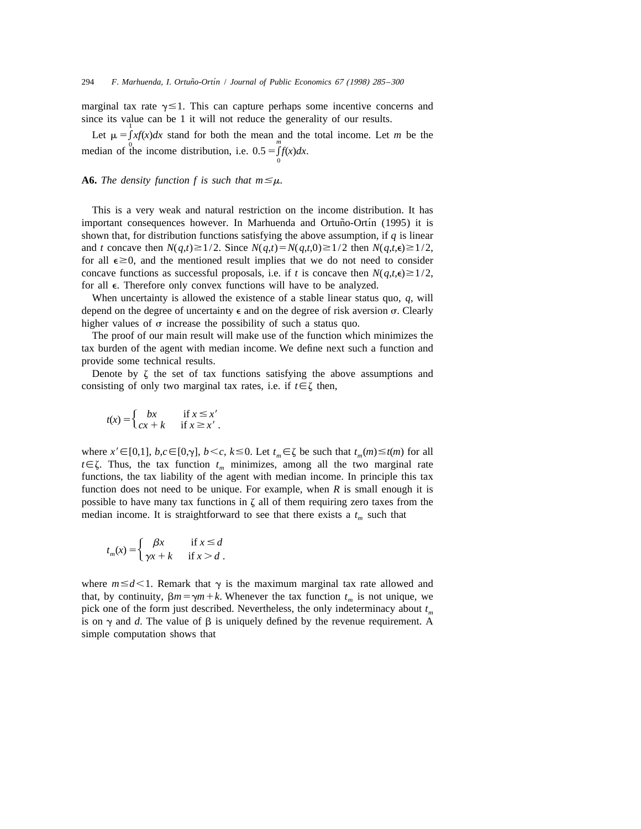marginal tax rate  $\gamma \leq 1$ . This can capture perhaps some incentive concerns and since its value can be 1 it will not reduce the generality of our results. <sup>1</sup>

Let  $\mu = \int x f(x) dx$  stand for both the mean and the total income. Let *m* be the median of the income distribution, i.e.  $0.5 = \int_{0}^{x} f(x) dx$ .

## **A6.** *The density function f is such that*  $m \leq \mu$ *.*

This is a very weak and natural restriction on the income distribution. It has important consequences however. In Marhuenda and Ortuño-Ortin (1995) it is shown that, for distribution functions satisfying the above assumption, if *q* is linear and *t* concave then  $N(q,t) \geq 1/2$ . Since  $N(q,t) = N(q,t,0) \geq 1/2$  then  $N(q,t,\epsilon) \geq 1/2$ , for all  $\epsilon \geq 0$ , and the mentioned result implies that we do not need to consider concave functions as successful proposals, i.e. if *t* is concave then  $N(q,t,\epsilon) \geq 1/2$ , for all  $\epsilon$ . Therefore only convex functions will have to be analyzed.

When uncertainty is allowed the existence of a stable linear status quo, *q*, will depend on the degree of uncertainty  $\epsilon$  and on the degree of risk aversion  $\sigma$ . Clearly higher values of  $\sigma$  increase the possibility of such a status quo.

The proof of our main result will make use of the function which minimizes the tax burden of the agent with median income. We define next such a function and provide some technical results.

Denote by  $\zeta$  the set of tax functions satisfying the above assumptions and consisting of only two marginal tax rates, i.e. if  $t \in \zeta$  then,

$$
t(x) = \begin{cases} bx & \text{if } x \leq x' \\ cx + k & \text{if } x \geq x' \end{cases}.
$$

where  $x' \in [0,1], b,c \in [0,\gamma], b < c, k \le 0$ . Let  $t_m \in \zeta$  be such that  $t_m(m) \le t(m)$  for all  $t \in \zeta$ . Thus, the tax function  $t_m$  minimizes, among all the two marginal rate functions, the tax liability of the agent with median income. In principle this tax function does not need to be unique. For example, when *R* is small enough it is possible to have many tax functions in  $\zeta$  all of them requiring zero taxes from the median income. It is straightforward to see that there exists a  $t_m$  such that

$$
t_m(x) = \begin{cases} \beta x & \text{if } x \le d \\ \gamma x + k & \text{if } x > d \end{cases}.
$$

where  $m \le d < 1$ . Remark that  $\gamma$  is the maximum marginal tax rate allowed and that, by continuity,  $\beta m = \gamma m + k$ . Whenever the tax function  $t_m$  is not unique, we pick one of the form just described. Nevertheless, the only indeterminacy about  $t_m$ is on  $\gamma$  and *d*. The value of  $\beta$  is uniquely defined by the revenue requirement. A simple computation shows that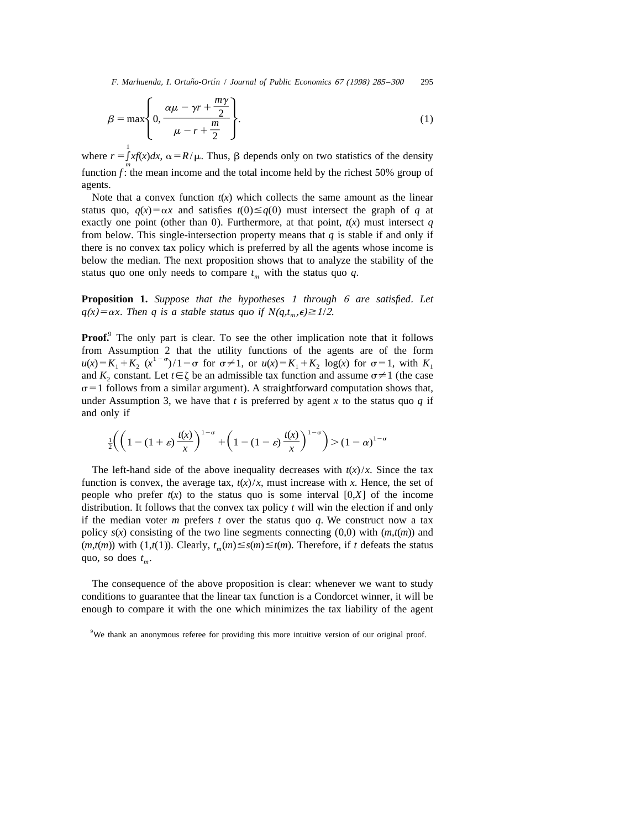*F*. *Marhuenda*, *I*. *Ortuno˜ ´* -*Ortın* / *Journal of Public Economics* <sup>67</sup> (1998) <sup>285</sup> –<sup>300</sup> 295

$$
\beta = \max\left\{0, \frac{\alpha\mu - \gamma r + \frac{m\gamma}{2}}{\mu - r + \frac{m}{2}}\right\}.
$$
\n(1)

where  $r = \int_{m}^{1} xf(x)dx$ ,  $\alpha = R/\mu$ . Thus,  $\beta$  depends only on two statistics of the density function  $f''$ : the mean income and the total income held by the richest 50% group of agents.

Note that a convex function  $t(x)$  which collects the same amount as the linear status quo,  $q(x) = \alpha x$  and satisfies  $t(0) \leq q(0)$  must intersect the graph of *q* at exactly one point (other than 0). Furthermore, at that point,  $t(x)$  must intersect  $q$ from below. This single-intersection property means that  $q$  is stable if and only if there is no convex tax policy which is preferred by all the agents whose income is below the median. The next proposition shows that to analyze the stability of the status quo one only needs to compare  $t_m$  with the status quo  $q$ .

**Proposition 1.** *Suppose that the hypotheses* <sup>1</sup> *through* <sup>6</sup> *are satisfied*. *Let*  $q(x) = \alpha x$ . *Then q is a stable status quo if*  $N(q,t_m,\epsilon) \geq 1/2$ .

**Proof.** The only part is clear. To see the other implication note that it follows from Assumption 2 that the utility functions of the agents are of the form  $u(x) = K_1 + K_2$ ,  $(x^{1-\sigma})/1 - \sigma$  for  $\sigma \neq 1$ , or  $u(x) = K_1 + K_2$ ,  $\log(x)$  for  $\sigma = 1$ , with  $K_1$ and  $K_2$  constant. Let  $t \in \zeta$  be an admissible tax function and assume  $\sigma \neq 1$  (the case  $\sigma$ =1 follows from a similar argument). A straightforward computation shows that, under Assumption 3, we have that *t* is preferred by agent *x* to the status quo *q* if and only if

$$
\frac{1}{2}\left(\left(1-(1+\varepsilon)\frac{t(x)}{x}\right)^{1-\sigma}+\left(1-(1-\varepsilon)\frac{t(x)}{x}\right)^{1-\sigma}\right)>(1-\alpha)^{1-\sigma}
$$

The left-hand side of the above inequality decreases with  $t(x)/x$ . Since the tax function is convex, the average tax,  $t(x)/x$ , must increase with x. Hence, the set of people who prefer  $t(x)$  to the status quo is some interval  $[0, X]$  of the income distribution. It follows that the convex tax policy *t* will win the election if and only if the median voter *m* prefers *t* over the status quo *q*. We construct now a tax policy  $s(x)$  consisting of the two line segments connecting  $(0,0)$  with  $(m,t(m))$  and  $(m,t(m))$  with  $(1,t(1))$ . Clearly,  $t_m(m) \leq s(m) \leq t(m)$ . Therefore, if *t* defeats the status quo, so does  $t_m$ .

The consequence of the above proposition is clear: whenever we want to study conditions to guarantee that the linear tax function is a Condorcet winner, it will be enough to compare it with the one which minimizes the tax liability of the agent

<sup>&</sup>lt;sup>9</sup>We thank an anonymous referee for providing this more intuitive version of our original proof.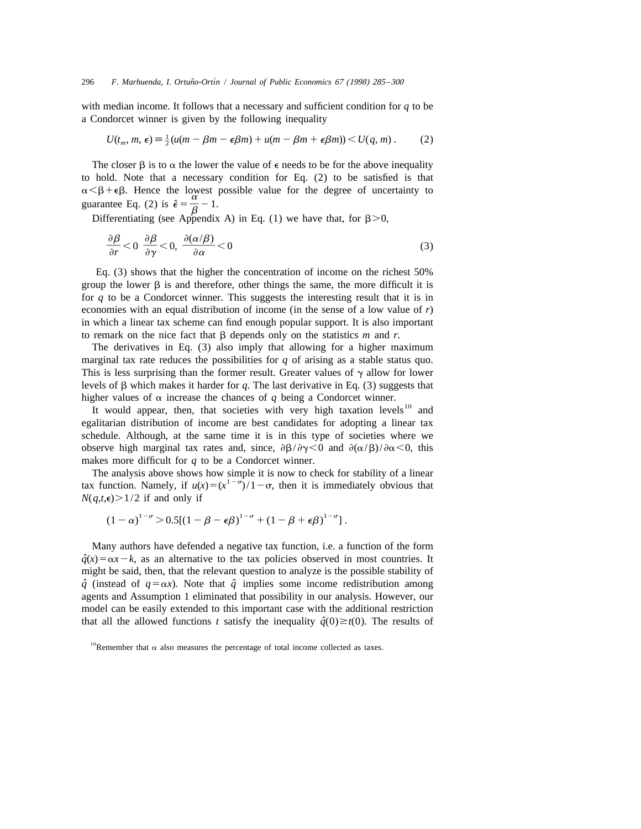with median income. It follows that a necessary and sufficient condition for *q* to be a Condorcet winner is given by the following inequality

$$
U(t_m, m, \epsilon) \equiv \frac{1}{2}(u(m - \beta m - \epsilon \beta m) + u(m - \beta m + \epsilon \beta m)) < U(q, m) \,. \tag{2}
$$

The closer  $\beta$  is to  $\alpha$  the lower the value of  $\epsilon$  needs to be for the above inequality to hold. Note that a necessary condition for Eq. (2) to be satisfied is that  $\alpha < \beta + \epsilon \beta$ . Hence the lowest possible value for the degree of uncertainty to guarantee Eq. (2) is  $\hat{\epsilon} = \frac{\alpha}{\beta} - 1$ .<br>Differentiating (see Appendix A) in Eq. (1) we have that, for  $\beta > 0$ ,

$$
\frac{\partial \beta}{\partial r} < 0 \frac{\partial \beta}{\partial \gamma} < 0, \frac{\partial (\alpha/\beta)}{\partial \alpha} < 0
$$
 (3)

Eq. (3) shows that the higher the concentration of income on the richest 50% group the lower  $\beta$  is and therefore, other things the same, the more difficult it is for *q* to be a Condorcet winner. This suggests the interesting result that it is in economies with an equal distribution of income (in the sense of a low value of *r*) in which a linear tax scheme can find enough popular support. It is also important to remark on the nice fact that  $\beta$  depends only on the statistics *m* and *r*.

The derivatives in Eq. (3) also imply that allowing for a higher maximum marginal tax rate reduces the possibilities for *q* of arising as a stable status quo. This is less surprising than the former result. Greater values of  $\gamma$  allow for lower levels of  $\beta$  which makes it harder for *q*. The last derivative in Eq. (3) suggests that

higher values of  $\alpha$  increase the chances of  $q$  being a Condorcet winner.<br>It would appear, then, that societies with very high taxation levels  $10$  and egalitarian distribution of income are best candidates for adopting a linear tax schedule. Although, at the same time it is in this type of societies where we observe high marginal tax rates and, since,  $\frac{\partial \beta}{\partial \gamma} \le 0$  and  $\frac{\partial (\alpha/\beta)}{\partial \alpha} \le 0$ , this makes more difficult for *q* to be a Condorcet winner.

The analysis above shows how simple it is now to check for stability of a linear tax function. Namely, if  $u(x)=(x^{1-\sigma})/1-\sigma$ , then it is immediately obvious that  $N(q,t,\epsilon)$  > 1/2 if and only if

$$
(1 - \alpha)^{1 - \sigma} > 0.5[(1 - \beta - \epsilon \beta)^{1 - \sigma} + (1 - \beta + \epsilon \beta)^{1 - \sigma}].
$$

Many authors have defended a negative tax function, i.e. a function of the form  $\hat{q}(x) = \alpha x - k$ , as an alternative to the tax policies observed in most countries. It might be said, then, that the relevant question to analyze is the possible stability of  $\hat{q}$  (instead of  $q = \alpha x$ ). Note that  $\hat{q}$  implies some income redistribution among agents and Assumption 1 eliminated that possibility in our analysis. However, our model can be easily extended to this important case with the additional restriction that all the allowed functions *t* satisfy the inequality  $\hat{q}(0) \geq t(0)$ . The results of

<sup>&</sup>lt;sup>10</sup>Remember that  $\alpha$  also measures the percentage of total income collected as taxes.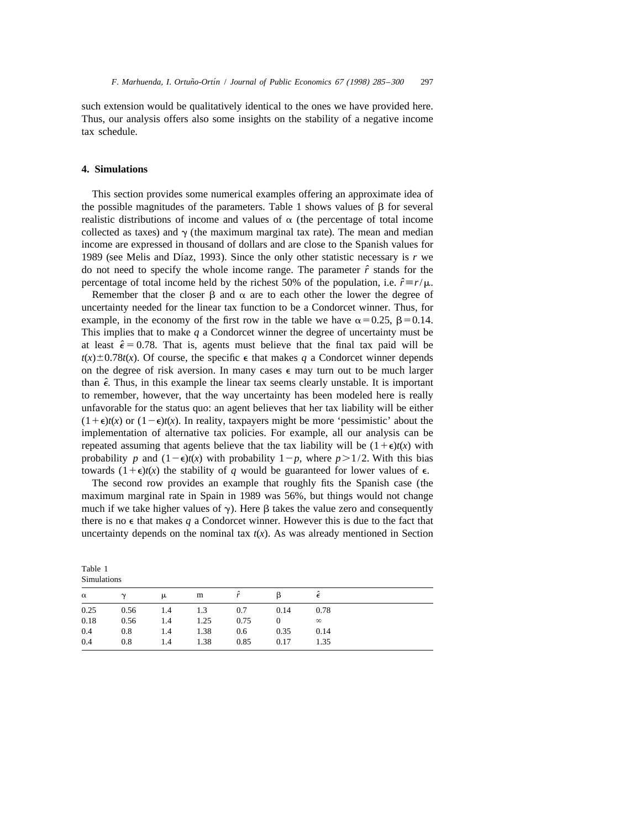such extension would be qualitatively identical to the ones we have provided here. Thus, our analysis offers also some insights on the stability of a negative income tax schedule.

#### **4. Simulations**

This section provides some numerical examples offering an approximate idea of the possible magnitudes of the parameters. Table 1 shows values of  $\beta$  for several realistic distributions of income and values of  $\alpha$  (the percentage of total income collected as taxes) and  $\gamma$  (the maximum marginal tax rate). The mean and median income are expressed in thousand of dollars and are close to the Spanish values for 1989 (see Melis and Díaz, 1993). Since the only other statistic necessary is  $r$  we do not need to specify the whole income range. The parameter  $\hat{r}$  stands for the percentage of total income held by the richest 50% of the population, i.e.  $\hat{r} \equiv r/\mu$ .

Remember that the closer  $\beta$  and  $\alpha$  are to each other the lower the degree of uncertainty needed for the linear tax function to be a Condorcet winner. Thus, for example, in the economy of the first row in the table we have  $\alpha$ =0.25,  $\beta$ =0.14. This implies that to make *q* a Condorcet winner the degree of uncertainty must be at least  $\hat{\epsilon} = 0.78$ . That is, agents must believe that the final tax paid will be  $t(x) \pm 0.78t(x)$ . Of course, the specific  $\epsilon$  that makes *q* a Condorcet winner depends on the degree of risk aversion. In many cases  $\epsilon$  may turn out to be much larger than  $\hat{\epsilon}$ . Thus, in this example the linear tax seems clearly unstable. It is important to remember, however, that the way uncertainty has been modeled here is really unfavorable for the status quo: an agent believes that her tax liability will be either  $(1+\epsilon)t(x)$  or  $(1-\epsilon)t(x)$ . In reality, taxpayers might be more 'pessimistic' about the implementation of alternative tax policies. For example, all our analysis can be repeated assuming that agents believe that the tax liability will be  $(1+\epsilon)t(x)$  with probability *p* and  $(1-\epsilon)t(x)$  with probability  $1-p$ , where  $p>1/2$ . With this bias towards  $(1+\epsilon)t(x)$  the stability of *q* would be guaranteed for lower values of  $\epsilon$ .

The second row provides an example that roughly fits the Spanish case (the maximum marginal rate in Spain in 1989 was 56%, but things would not change much if we take higher values of  $\gamma$ ). Here  $\beta$  takes the value zero and consequently there is no  $\epsilon$  that makes  $q$  a Condorcet winner. However this is due to the fact that uncertainty depends on the nominal tax  $t(x)$ . As was already mentioned in Section

| Table 1     |  |  |
|-------------|--|--|
| Simulations |  |  |

| $\gamma$<br>$\alpha$ |            | $\mu$ | m    | $\hat{r}$ |                | ê        |
|----------------------|------------|-------|------|-----------|----------------|----------|
|                      |            |       |      |           |                |          |
| 0.25                 | $0.56$ 1.4 |       | 1.3  | 0.7       | 0.14           | 0.78     |
| 0.18                 | $0.56$ 1.4 |       | 1.25 | 0.75      | $\overline{0}$ | $\infty$ |
| 0.4                  | $0.8$ 1.4  |       | 1.38 | 0.6       | 0.35           | 0.14     |
| 0.4                  | 0.8        | 1.4   | 1.38 | 0.85      | 0.17           | 1.35     |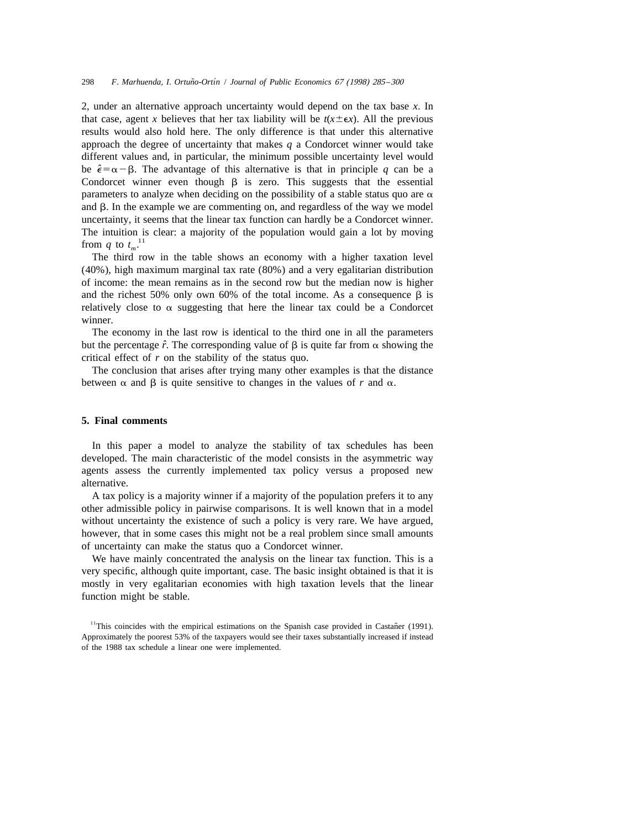2, under an alternative approach uncertainty would depend on the tax base *x*. In that case, agent *x* believes that her tax liability will be  $t(x \pm \epsilon x)$ . All the previous results would also hold here. The only difference is that under this alternative approach the degree of uncertainty that makes *q* a Condorcet winner would take different values and, in particular, the minimum possible uncertainty level would be  $\hat{\epsilon} = \alpha - \beta$ . The advantage of this alternative is that in principle *q* can be a Condorcet winner even though  $\beta$  is zero. This suggests that the essential parameters to analyze when deciding on the possibility of a stable status quo are  $\alpha$ and  $\beta$ . In the example we are commenting on, and regardless of the way we model uncertainty, it seems that the linear tax function can hardly be a Condorcet winner. The intuition is clear: a majority of the population would gain a lot by moving from *q* to  $t_m$ .<sup>11</sup>

The third row in the table shows an economy with a higher taxation level (40%), high maximum marginal tax rate (80%) and a very egalitarian distribution of income: the mean remains as in the second row but the median now is higher and the richest 50% only own 60% of the total income. As a consequence  $\beta$  is relatively close to  $\alpha$  suggesting that here the linear tax could be a Condorcet winner.

The economy in the last row is identical to the third one in all the parameters but the percentage  $\hat{r}$ . The corresponding value of  $\beta$  is quite far from  $\alpha$  showing the critical effect of *r* on the stability of the status quo.

The conclusion that arises after trying many other examples is that the distance between  $\alpha$  and  $\beta$  is quite sensitive to changes in the values of *r* and  $\alpha$ .

#### **5. Final comments**

In this paper a model to analyze the stability of tax schedules has been developed. The main characteristic of the model consists in the asymmetric way agents assess the currently implemented tax policy versus a proposed new alternative.

A tax policy is a majority winner if a majority of the population prefers it to any other admissible policy in pairwise comparisons. It is well known that in a model without uncertainty the existence of such a policy is very rare. We have argued, however, that in some cases this might not be a real problem since small amounts of uncertainty can make the status quo a Condorcet winner.

We have mainly concentrated the analysis on the linear tax function. This is a very specific, although quite important, case. The basic insight obtained is that it is mostly in very egalitarian economies with high taxation levels that the linear function might be stable.

<sup>&</sup>lt;sup>11</sup>This coincides with the empirical estimations on the Spanish case provided in Castaner (1991). Approximately the poorest 53% of the taxpayers would see their taxes substantially increased if instead of the 1988 tax schedule a linear one were implemented.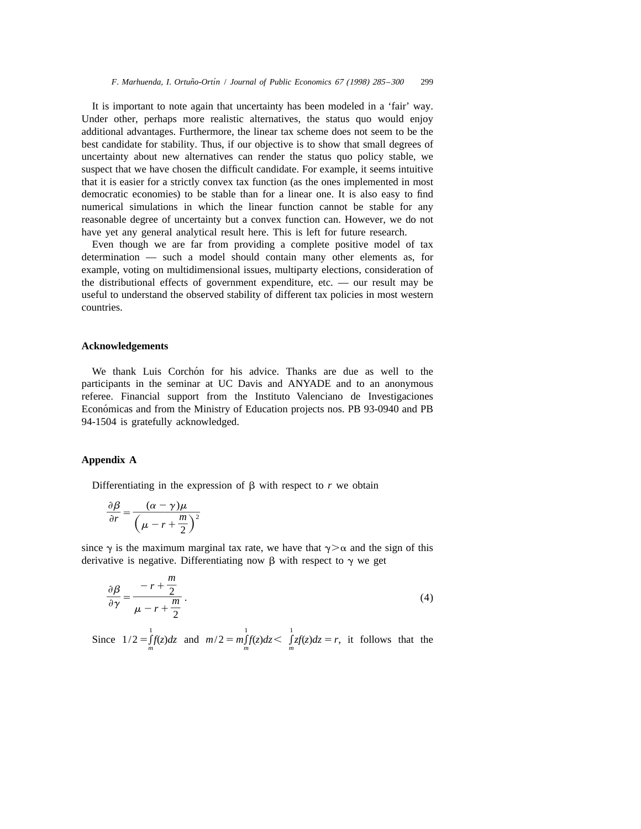It is important to note again that uncertainty has been modeled in a 'fair' way. Under other, perhaps more realistic alternatives, the status quo would enjoy additional advantages. Furthermore, the linear tax scheme does not seem to be the best candidate for stability. Thus, if our objective is to show that small degrees of uncertainty about new alternatives can render the status quo policy stable, we suspect that we have chosen the difficult candidate. For example, it seems intuitive that it is easier for a strictly convex tax function (as the ones implemented in most democratic economies) to be stable than for a linear one. It is also easy to find numerical simulations in which the linear function cannot be stable for any reasonable degree of uncertainty but a convex function can. However, we do not have yet any general analytical result here. This is left for future research.

Even though we are far from providing a complete positive model of tax determination — such a model should contain many other elements as, for example, voting on multidimensional issues, multiparty elections, consideration of the distributional effects of government expenditure, etc. — our result may be useful to understand the observed stability of different tax policies in most western countries.

#### **Acknowledgements**

We thank Luis Corchon for his advice. Thanks are due as well to the participants in the seminar at UC Davis and ANYADE and to an anonymous referee. Financial support from the Instituto Valenciano de Investigaciones Económicas and from the Ministry of Education projects nos. PB 93-0940 and PB 94-1504 is gratefully acknowledged.

## **Appendix A**

Differentiating in the expression of  $\beta$  with respect to  $r$  we obtain

$$
\frac{\partial \beta}{\partial r} = \frac{(\alpha - \gamma)\mu}{\left(\mu - r + \frac{m}{2}\right)^2}
$$

since  $\gamma$  is the maximum marginal tax rate, we have that  $\gamma > \alpha$  and the sign of this derivative is negative. Differentiating now  $\beta$  with respect to  $\gamma$  we get

$$
\frac{\partial \beta}{\partial \gamma} = \frac{-r + \frac{m}{2}}{\mu - r + \frac{m}{2}}.
$$
\n(4)

Since  $1/2 = \int_{m}^{1} f(z)dz$  and  $m/2 = m\int_{m}^{1} f(z)dz < \int_{m}^{1} zf(z)dz = r$ , it follows that the